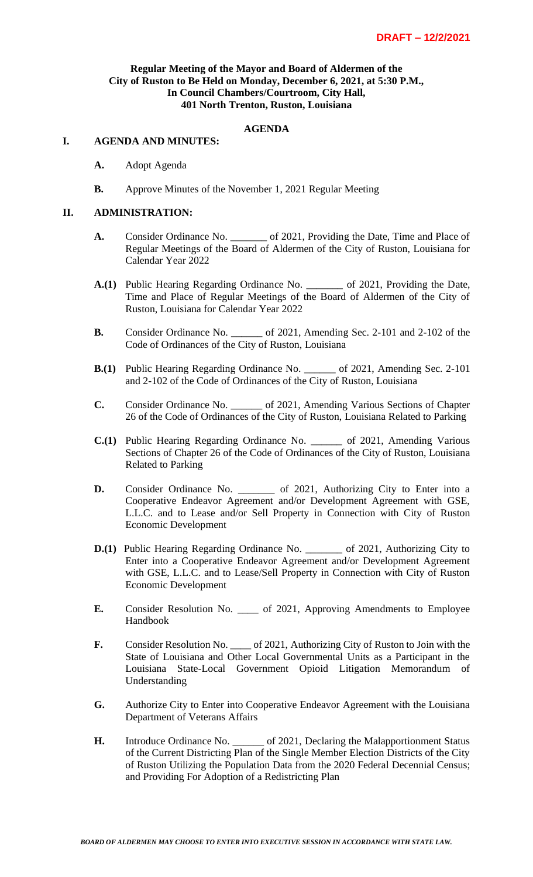#### **Regular Meeting of the Mayor and Board of Aldermen of the City of Ruston to Be Held on Monday, December 6, 2021, at 5:30 P.M., In Council Chambers/Courtroom, City Hall, 401 North Trenton, Ruston, Louisiana**

## **AGENDA**

#### **I. AGENDA AND MINUTES:**

- **A.** Adopt Agenda
- **B.** Approve Minutes of the November 1, 2021 Regular Meeting

#### **II. ADMINISTRATION:**

- **A.** Consider Ordinance No.  $\qquad \qquad$  of 2021, Providing the Date, Time and Place of Regular Meetings of the Board of Aldermen of the City of Ruston, Louisiana for Calendar Year 2022
- **A.(1)** Public Hearing Regarding Ordinance No. \_\_\_\_\_\_\_ of 2021, Providing the Date, Time and Place of Regular Meetings of the Board of Aldermen of the City of Ruston, Louisiana for Calendar Year 2022
- **B.** Consider Ordinance No. \_\_\_\_\_\_ of 2021, Amending Sec. 2-101 and 2-102 of the Code of Ordinances of the City of Ruston, Louisiana
- **B.(1)** Public Hearing Regarding Ordinance No. \_\_\_\_\_\_ of 2021, Amending Sec. 2-101 and 2-102 of the Code of Ordinances of the City of Ruston, Louisiana
- **C.** Consider Ordinance No. \_\_\_\_\_\_ of 2021, Amending Various Sections of Chapter 26 of the Code of Ordinances of the City of Ruston, Louisiana Related to Parking
- **C.(1)** Public Hearing Regarding Ordinance No. \_\_\_\_\_\_ of 2021, Amending Various Sections of Chapter 26 of the Code of Ordinances of the City of Ruston, Louisiana Related to Parking
- **D.** Consider Ordinance No. \_\_\_\_\_\_\_ of 2021, Authorizing City to Enter into a Cooperative Endeavor Agreement and/or Development Agreement with GSE, L.L.C. and to Lease and/or Sell Property in Connection with City of Ruston Economic Development
- **D.(1)** Public Hearing Regarding Ordinance No. \_\_\_\_\_\_\_ of 2021, Authorizing City to Enter into a Cooperative Endeavor Agreement and/or Development Agreement with GSE, L.L.C. and to Lease/Sell Property in Connection with City of Ruston Economic Development
- **E.** Consider Resolution No. \_\_\_\_ of 2021, Approving Amendments to Employee Handbook
- **F.** Consider Resolution No. \_\_\_\_ of 2021, Authorizing City of Ruston to Join with the State of Louisiana and Other Local Governmental Units as a Participant in the Louisiana State-Local Government Opioid Litigation Memorandum of Understanding
- **G.** Authorize City to Enter into Cooperative Endeavor Agreement with the Louisiana Department of Veterans Affairs
- **H.** Introduce Ordinance No. \_\_\_\_\_\_ of 2021, Declaring the Malapportionment Status of the Current Districting Plan of the Single Member Election Districts of the City of Ruston Utilizing the Population Data from the 2020 Federal Decennial Census; and Providing For Adoption of a Redistricting Plan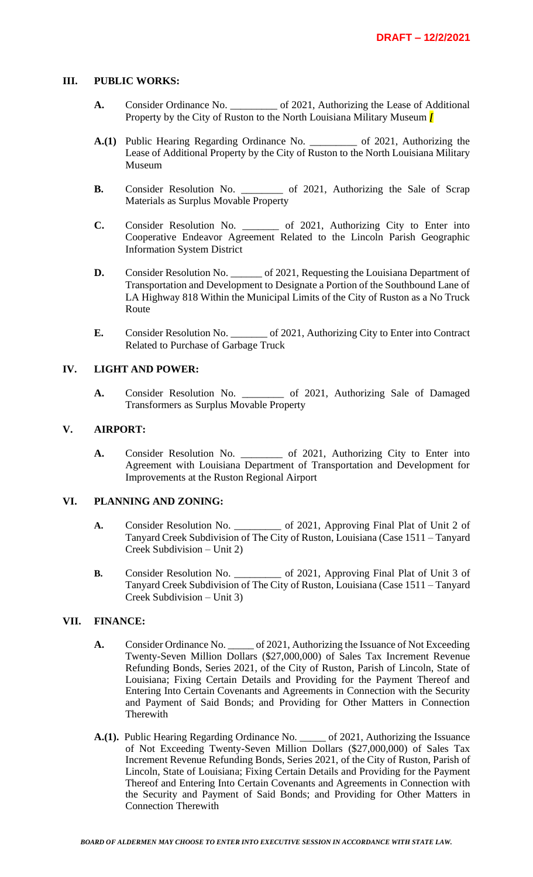#### **III. PUBLIC WORKS:**

- A. Consider Ordinance No.  $\qquad \qquad$  of 2021, Authorizing the Lease of Additional Property by the City of Ruston to the North Louisiana Military Museum *[*
- **A.(1)** Public Hearing Regarding Ordinance No. \_\_\_\_\_\_\_\_\_ of 2021, Authorizing the Lease of Additional Property by the City of Ruston to the North Louisiana Military Museum
- **B.** Consider Resolution No. \_\_\_\_\_\_\_\_\_ of 2021, Authorizing the Sale of Scrap Materials as Surplus Movable Property
- **C.** Consider Resolution No. \_\_\_\_\_\_\_ of 2021, Authorizing City to Enter into Cooperative Endeavor Agreement Related to the Lincoln Parish Geographic Information System District
- **D.** Consider Resolution No. \_\_\_\_\_\_ of 2021, Requesting the Louisiana Department of Transportation and Development to Designate a Portion of the Southbound Lane of LA Highway 818 Within the Municipal Limits of the City of Ruston as a No Truck Route
- **E.** Consider Resolution No. \_\_\_\_\_\_\_ of 2021, Authorizing City to Enter into Contract Related to Purchase of Garbage Truck

#### **IV. LIGHT AND POWER:**

**A.** Consider Resolution No. \_\_\_\_\_\_\_\_ of 2021, Authorizing Sale of Damaged Transformers as Surplus Movable Property

## **V. AIRPORT:**

**A.** Consider Resolution No. \_\_\_\_\_\_\_\_ of 2021, Authorizing City to Enter into Agreement with Louisiana Department of Transportation and Development for Improvements at the Ruston Regional Airport

#### **VI. PLANNING AND ZONING:**

- **A.** Consider Resolution No. \_\_\_\_\_\_\_\_\_ of 2021, Approving Final Plat of Unit 2 of Tanyard Creek Subdivision of The City of Ruston, Louisiana (Case 1511 – Tanyard Creek Subdivision – Unit 2)
- **B.** Consider Resolution No. \_\_\_\_\_\_\_\_\_\_ of 2021, Approving Final Plat of Unit 3 of Tanyard Creek Subdivision of The City of Ruston, Louisiana (Case 1511 – Tanyard Creek Subdivision – Unit 3)

## **VII. FINANCE:**

- **A.** Consider Ordinance No. \_\_\_\_\_ of 2021, Authorizing the Issuance of Not Exceeding Twenty-Seven Million Dollars (\$27,000,000) of Sales Tax Increment Revenue Refunding Bonds, Series 2021, of the City of Ruston, Parish of Lincoln, State of Louisiana; Fixing Certain Details and Providing for the Payment Thereof and Entering Into Certain Covenants and Agreements in Connection with the Security and Payment of Said Bonds; and Providing for Other Matters in Connection Therewith
- **A.(1).** Public Hearing Regarding Ordinance No. \_\_\_\_\_ of 2021, Authorizing the Issuance of Not Exceeding Twenty-Seven Million Dollars (\$27,000,000) of Sales Tax Increment Revenue Refunding Bonds, Series 2021, of the City of Ruston, Parish of Lincoln, State of Louisiana; Fixing Certain Details and Providing for the Payment Thereof and Entering Into Certain Covenants and Agreements in Connection with the Security and Payment of Said Bonds; and Providing for Other Matters in Connection Therewith